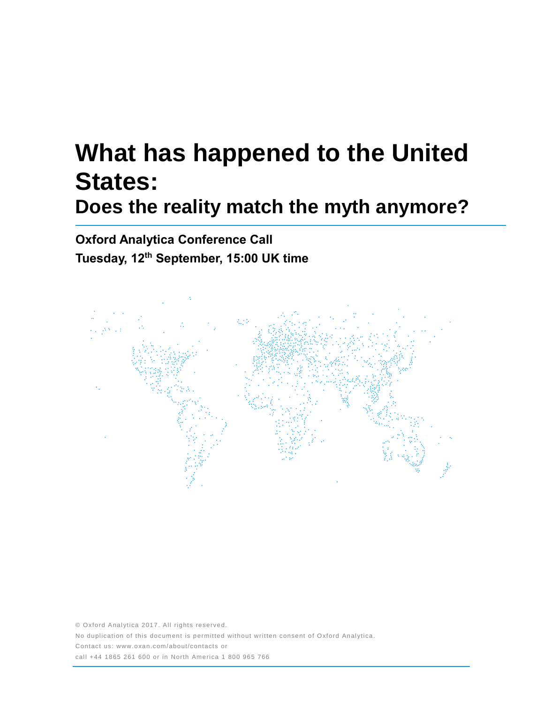# **What has happened to the United States: Does the reality match the myth anymore?**

**Oxford Analytica Conference Call Tuesday, 12 th September, 15:00 UK time**



© Oxford Analytica 2017. All rights reserved. No duplication of this document is permitted without written consent of Oxford Analytica. Contact us: www.oxan.com/about/contacts or call +44 1865 261 600 or in North America 1 800 965 766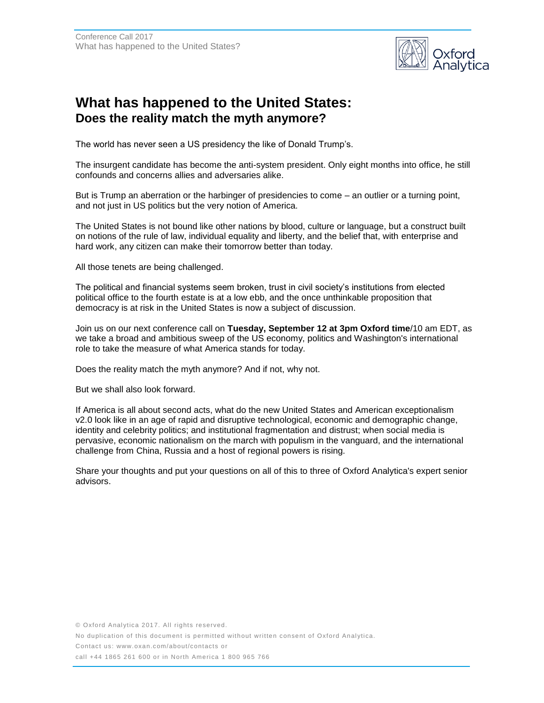

## **What has happened to the United States: Does the reality match the myth anymore?**

The world has never seen a US presidency the like of Donald Trump's.

The insurgent candidate has become the anti-system president. Only eight months into office, he still confounds and concerns allies and adversaries alike.

But is Trump an aberration or the harbinger of presidencies to come – an outlier or a turning point, and not just in US politics but the very notion of America.

The United States is not bound like other nations by blood, culture or language, but a construct built on notions of the rule of law, individual equality and liberty, and the belief that, with enterprise and hard work, any citizen can make their tomorrow better than today.

All those tenets are being challenged.

The political and financial systems seem broken, trust in civil society's institutions from elected political office to the fourth estate is at a low ebb, and the once unthinkable proposition that democracy is at risk in the United States is now a subject of discussion.

Join us on our next conference call on **Tuesday, September 12 at 3pm Oxford time**/10 am EDT, as we take a broad and ambitious sweep of the US economy, politics and Washington's international role to take the measure of what America stands for today.

Does the reality match the myth anymore? And if not, why not.

But we shall also look forward.

If America is all about second acts, what do the new United States and American exceptionalism v2.0 look like in an age of rapid and disruptive technological, economic and demographic change, identity and celebrity politics; and institutional fragmentation and distrust; when social media is pervasive, economic nationalism on the march with populism in the vanguard, and the international challenge from China, Russia and a host of regional powers is rising.

Share your thoughts and put your questions on all of this to three of Oxford Analytica's expert senior advisors.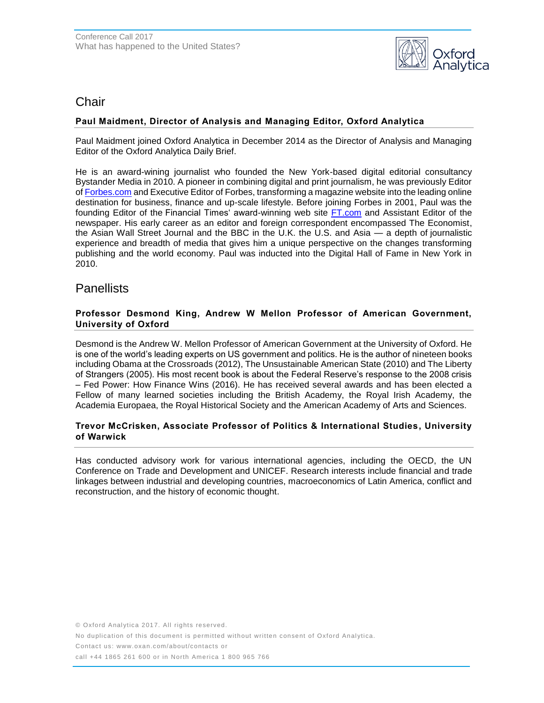

## Chair

## **Paul Maidment, Director of Analysis and Managing Editor, Oxford Analytica**

Paul Maidment joined Oxford Analytica in December 2014 as the Director of Analysis and Managing Editor of the Oxford Analytica Daily Brief.

He is an award-wining journalist who founded the New York-based digital editorial consultancy Bystander Media in 2010. A pioneer in combining digital and print journalism, he was previously Editor o[f Forbes.com](http://forbes.com/) and Executive Editor of Forbes, transforming a magazine website into the leading online destination for business, finance and up-scale lifestyle. Before joining Forbes in 2001, Paul was the founding Editor of the Financial Times' award-winning web site [FT.com](http://ft.com/) and Assistant Editor of the newspaper. His early career as an editor and foreign correspondent encompassed The Economist, the Asian Wall Street Journal and the BBC in the U.K. the U.S. and Asia — a depth of journalistic experience and breadth of media that gives him a unique perspective on the changes transforming publishing and the world economy. Paul was inducted into the Digital Hall of Fame in New York in 2010.

## **Panellists**

### **Professor Desmond King, Andrew W Mellon Professor of American Government, University of Oxford**

Desmond is the Andrew W. Mellon Professor of American Government at the University of Oxford. He is one of the world's leading experts on US government and politics. He is the author of nineteen books including Obama at the Crossroads (2012), The Unsustainable American State (2010) and The Liberty of Strangers (2005). His most recent book is about the Federal Reserve's response to the 2008 crisis – Fed Power: How Finance Wins (2016). He has received several awards and has been elected a Fellow of many learned societies including the British Academy, the Royal Irish Academy, the Academia Europaea, the Royal Historical Society and the American Academy of Arts and Sciences.

#### **Trevor McCrisken, Associate Professor of Politics & International Studies, University of Warwick**

Has conducted advisory work for various international agencies, including the OECD, the UN Conference on Trade and Development and UNICEF. Research interests include financial and trade linkages between industrial and developing countries, macroeconomics of Latin America, conflict and reconstruction, and the history of economic thought.